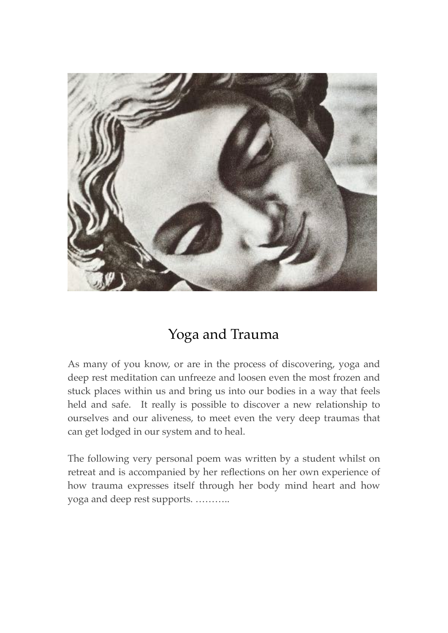

## Yoga and Trauma

As many of you know, or are in the process of discovering, yoga and deep rest meditation can unfreeze and loosen even the most frozen and stuck places within us and bring us into our bodies in a way that feels held and safe. It really is possible to discover a new relationship to ourselves and our aliveness, to meet even the very deep traumas that can get lodged in our system and to heal.

The following very personal poem was written by a student whilst on retreat and is accompanied by her reflections on her own experience of how trauma expresses itself through her body mind heart and how yoga and deep rest supports. ………..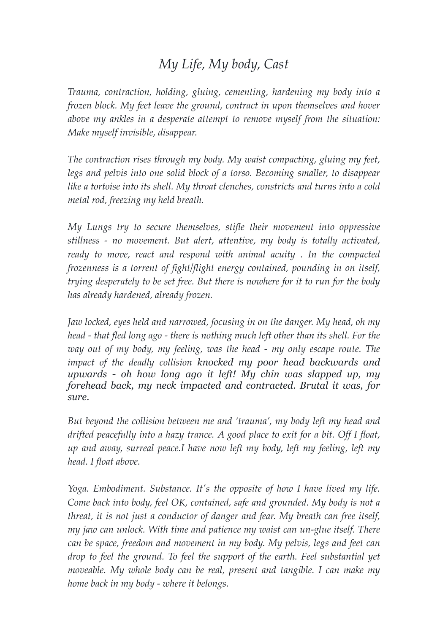## *My Life, My body, Cast*

*Trauma, contraction, holding, gluing, cementing, hardening my body into a frozen block. My feet leave the ground, contract in upon themselves and hover above my ankles in a desperate attempt to remove myself from the situation: Make myself invisible, disappear.*

*The contraction rises through my body. My waist compacting, gluing my feet, legs and pelvis into one solid block of a torso. Becoming smaller, to disappear like a tortoise into its shell. My throat clenches, constricts and turns into a cold metal rod, freezing my held breath.*

*My Lungs try to secure themselves, stifle their movement into oppressive stillness - no movement. But alert, attentive, my body is totally activated, ready to move, react and respond with animal acuity . In the compacted frozenness is a torrent of fight/flight energy contained, pounding in on itself, trying desperately to be set free. But there is nowhere for it to run for the body has already hardened, already frozen.*

*Jaw locked, eyes held and narrowed, focusing in on the danger. My head, oh my head - that fled long ago - there is nothing much left other than its shell. For the way out of my body, my feeling, was the head - my only escape route. The impact of the deadly collision knocked my poor head backwards and upwards - oh how long ago it left! My chin was slapped up, my forehead back, my neck impacted and contracted. Brutal it was, for sure.* 

*But beyond the collision between me and 'trauma', my body left my head and drifted peacefully into a hazy trance. A good place to exit for a bit. Off I float, up and away, surreal peace.I have now left my body, left my feeling, left my head. I float above.*

*Yoga. Embodiment. Substance. It's the opposite of how I have lived my life. Come back into body, feel OK, contained, safe and grounded. My body is not a threat, it is not just a conductor of danger and fear. My breath can free itself, my jaw can unlock. With time and patience my waist can un-glue itself. There can be space, freedom and movement in my body. My pelvis, legs and feet can drop to feel the ground. To feel the support of the earth. Feel substantial yet moveable. My whole body can be real, present and tangible. I can make my home back in my body - where it belongs.*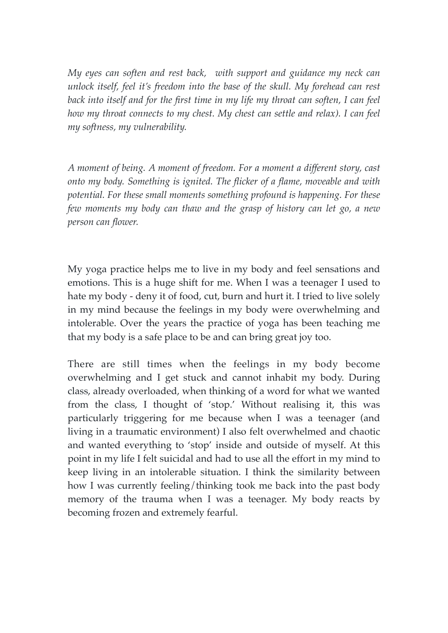*My eyes can soften and rest back, with support and guidance my neck can unlock itself, feel it's freedom into the base of the skull. My forehead can rest back into itself and for the first time in my life my throat can soften, I can feel how my throat connects to my chest. My chest can settle and relax). I can feel my softness, my vulnerability.*

*A moment of being. A moment of freedom. For a moment a different story, cast onto my body. Something is ignited. The flicker of a flame, moveable and with potential. For these small moments something profound is happening. For these few moments my body can thaw and the grasp of history can let go, a new person can flower.*

My yoga practice helps me to live in my body and feel sensations and emotions. This is a huge shift for me. When I was a teenager I used to hate my body - deny it of food, cut, burn and hurt it. I tried to live solely in my mind because the feelings in my body were overwhelming and intolerable. Over the years the practice of yoga has been teaching me that my body is a safe place to be and can bring great joy too.

There are still times when the feelings in my body become overwhelming and I get stuck and cannot inhabit my body. During class, already overloaded, when thinking of a word for what we wanted from the class, I thought of 'stop.' Without realising it, this was particularly triggering for me because when I was a teenager (and living in a traumatic environment) I also felt overwhelmed and chaotic and wanted everything to 'stop' inside and outside of myself. At this point in my life I felt suicidal and had to use all the effort in my mind to keep living in an intolerable situation. I think the similarity between how I was currently feeling/thinking took me back into the past body memory of the trauma when I was a teenager. My body reacts by becoming frozen and extremely fearful.